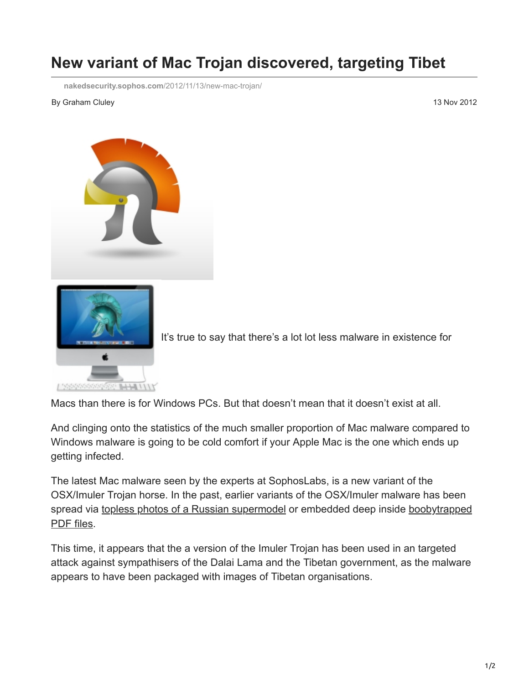## **New variant of Mac Trojan discovered, targeting Tibet**

**[nakedsecurity.sophos.com](https://nakedsecurity.sophos.com/2012/11/13/new-mac-trojan/)**/2012/11/13/new-mac-trojan/

## By Graham Cluley 13 Nov 2012





It's true to say that there's a lot lot less malware in existence for

Macs than there is for Windows PCs. But that doesn't mean that it doesn't exist at all.

And clinging onto the statistics of the much smaller proportion of Mac malware compared to Windows malware is going to be cold comfort if your Apple Mac is the one which ends up getting infected.

The latest Mac malware seen by the experts at SophosLabs, is a new variant of the OSX/Imuler Trojan horse. In the past, earlier variants of the OSX/Imuler malware has been [spread via topless photos of a Russian supermodel or embedded deep inside boobytrapped](http://nakedsecurity.sophos.com/2011/09/23/mac-os-x-trojan-hides-behind-malicious-pdf-disguise/) PDF files.

This time, it appears that the a version of the Imuler Trojan has been used in an targeted attack against sympathisers of the Dalai Lama and the Tibetan government, as the malware appears to have been packaged with images of Tibetan organisations.